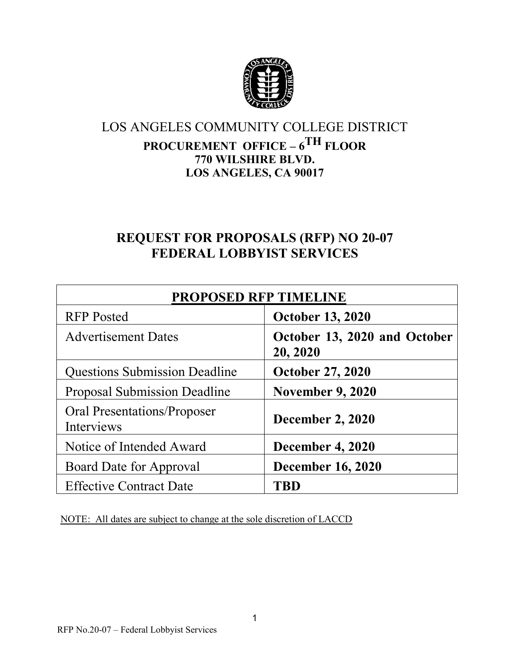

# LOS ANGELES COMMUNITY COLLEGE DISTRICT

# **PROCUREMENT OFFICE – 6TH FLOOR 770 WILSHIRE BLVD. LOS ANGELES, CA 90017**

# **REQUEST FOR PROPOSALS (RFP) NO 20-07 FEDERAL LOBBYIST SERVICES**

| <b>PROPOSED RFP TIMELINE</b>              |                                          |  |  |
|-------------------------------------------|------------------------------------------|--|--|
| <b>RFP</b> Posted                         | <b>October 13, 2020</b>                  |  |  |
| <b>Advertisement Dates</b>                | October 13, 2020 and October<br>20, 2020 |  |  |
| <b>Questions Submission Deadline</b>      | <b>October 27, 2020</b>                  |  |  |
| <b>Proposal Submission Deadline</b>       | <b>November 9, 2020</b>                  |  |  |
| Oral Presentations/Proposer<br>Interviews | <b>December 2, 2020</b>                  |  |  |
| Notice of Intended Award                  | <b>December 4, 2020</b>                  |  |  |
| Board Date for Approval                   | <b>December 16, 2020</b>                 |  |  |
| <b>Effective Contract Date</b>            | TRD                                      |  |  |

NOTE: All dates are subject to change at the sole discretion of LACCD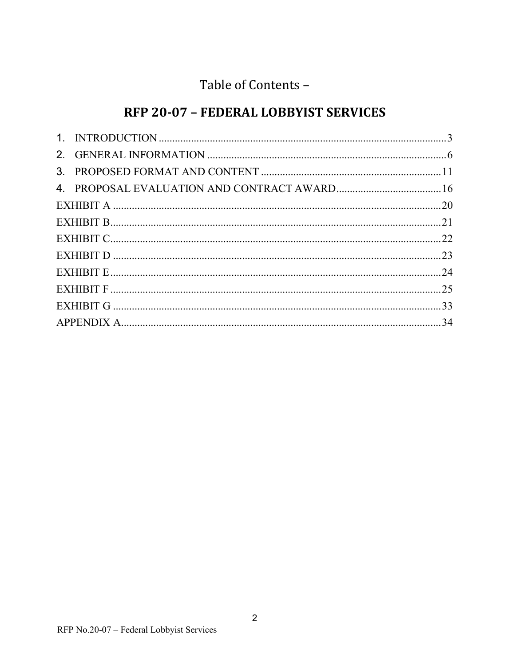# Table of Contents -

# RFP 20-07 - FEDERAL LOBBYIST SERVICES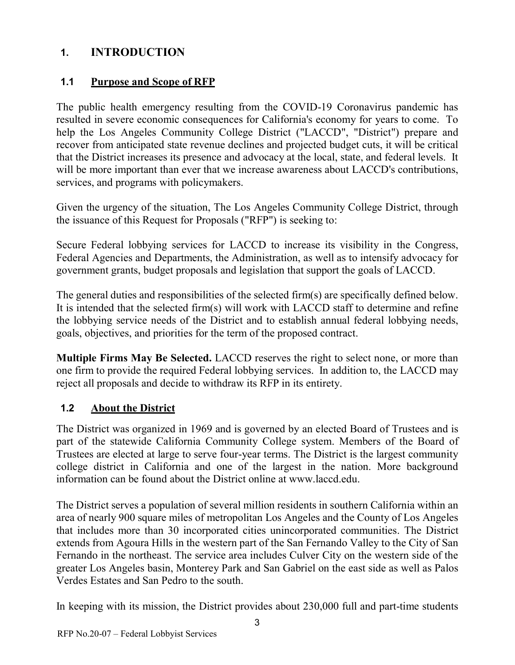# <span id="page-2-0"></span>**1. INTRODUCTION**

## **1.1 Purpose and Scope of RFP**

The public health emergency resulting from the COVID-19 Coronavirus pandemic has resulted in severe economic consequences for California's economy for years to come. To help the Los Angeles Community College District ("LACCD", "District") prepare and recover from anticipated state revenue declines and projected budget cuts, it will be critical that the District increases its presence and advocacy at the local, state, and federal levels. It will be more important than ever that we increase awareness about LACCD's contributions, services, and programs with policymakers.

Given the urgency of the situation, The Los Angeles Community College District, through the issuance of this Request for Proposals ("RFP") is seeking to:

Secure Federal lobbying services for LACCD to increase its visibility in the Congress, Federal Agencies and Departments, the Administration, as well as to intensify advocacy for government grants, budget proposals and legislation that support the goals of LACCD.

The general duties and responsibilities of the selected firm(s) are specifically defined below. It is intended that the selected firm(s) will work with LACCD staff to determine and refine the lobbying service needs of the District and to establish annual federal lobbying needs, goals, objectives, and priorities for the term of the proposed contract.

**Multiple Firms May Be Selected.** LACCD reserves the right to select none, or more than one firm to provide the required Federal lobbying services. In addition to, the LACCD may reject all proposals and decide to withdraw its RFP in its entirety.

## **1.2 About the District**

The District was organized in 1969 and is governed by an elected Board of Trustees and is part of the statewide California Community College system. Members of the Board of Trustees are elected at large to serve four-year terms. The District is the largest community college district in California and one of the largest in the nation. More background information can be found about the District online at www.laccd.edu.

The District serves a population of several million residents in southern California within an area of nearly 900 square miles of metropolitan Los Angeles and the County of Los Angeles that includes more than 30 incorporated cities unincorporated communities. The District extends from Agoura Hills in the western part of the San Fernando Valley to the City of San Fernando in the northeast. The service area includes Culver City on the western side of the greater Los Angeles basin, Monterey Park and San Gabriel on the east side as well as Palos Verdes Estates and San Pedro to the south.

In keeping with its mission, the District provides about 230,000 full and part-time students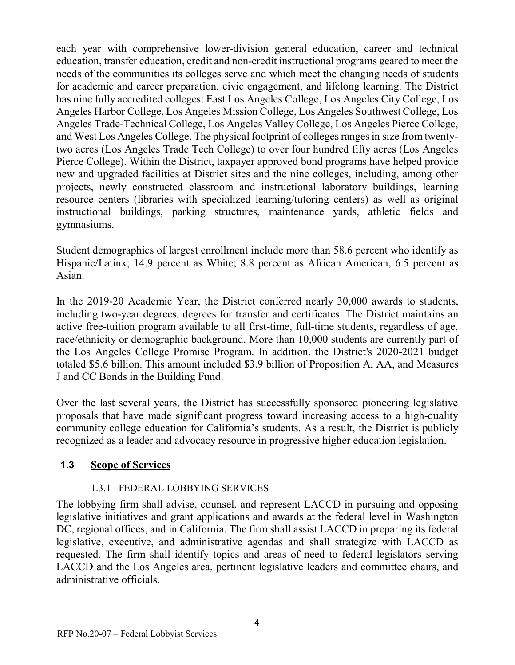each year with comprehensive lower-division general education, career and technical education, transfer education, credit and non-credit instructional programs geared to meet the needs of the communities its colleges serve and which meet the changing needs of students for academic and career preparation, civic engagement, and lifelong learning. The District has nine fully accredited colleges: East Los Angeles College, Los Angeles City College, Los Angeles Harbor College, Los Angeles Mission College, Los Angeles Southwest College, Los Angeles Trade-Technical College, Los Angeles Valley College, Los Angeles Pierce College, and West Los Angeles College. The physical footprint of colleges ranges in size from twentytwo acres (Los Angeles Trade Tech College) to over four hundred fifty acres (Los Angeles Pierce College). Within the District, taxpayer approved bond programs have helped provide new and upgraded facilities at District sites and the nine colleges, including, among other projects, newly constructed classroom and instructional laboratory buildings, learning resource centers (libraries with specialized learning/tutoring centers) as well as original instructional buildings, parking structures, maintenance yards, athletic fields and gymnasiums.

Student demographics of largest enrollment include more than 58.6 percent who identify as Hispanic/Latinx; 14.9 percent as White; 8.8 percent as African American, 6.5 percent as Asian.

In the 2019-20 Academic Year, the District conferred nearly 30,000 awards to students, including two-year degrees, degrees for transfer and certificates. The District maintains an active free-tuition program available to all first-time, full-time students, regardless of age, race/ethnicity or demographic background. More than 10,000 students are currently part of the Los Angeles College Promise Program. In addition, the District's 2020-2021 budget totaled \$5.6 billion. This amount included \$3.9 billion of Proposition A, AA, and Measures J and CC Bonds in the Building Fund.

Over the last several years, the District has successfully sponsored pioneering legislative proposals that have made significant progress toward increasing access to a high-quality community college education for California's students. As a result, the District is publicly recognized as a leader and advocacy resource in progressive higher education legislation.

#### **1.3 Scope of Services**

#### 1.3.1 FEDERAL LOBBYING SERVICES

The lobbying firm shall advise, counsel, and represent LACCD in pursuing and opposing legislative initiatives and grant applications and awards at the federal level in Washington DC, regional offices, and in California. The firm shall assist LACCD in preparing its federal legislative, executive, and administrative agendas and shall strategize with LACCD as requested. The firm shall identify topics and areas of need to federal legislators serving LACCD and the Los Angeles area, pertinent legislative leaders and committee chairs, and administrative officials.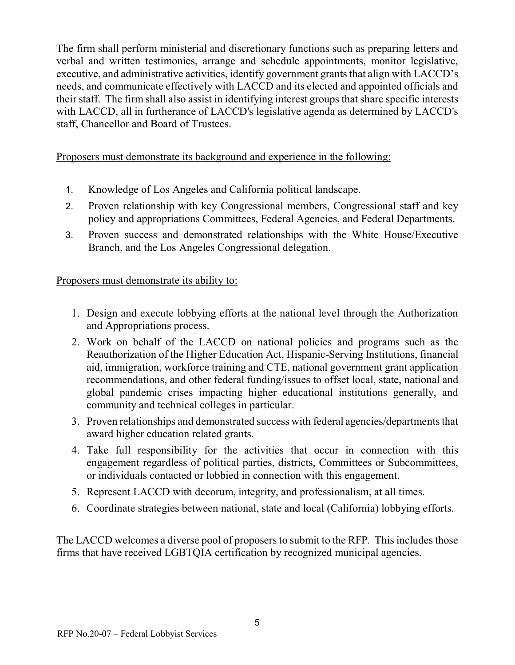The firm shall perform ministerial and discretionary functions such as preparing letters and verbal and written testimonies, arrange and schedule appointments, monitor legislative, executive, and administrative activities, identify government grants that align with LACCD's needs, and communicate effectively with LACCD and its elected and appointed officials and their staff. The firm shall also assist in identifying interest groups that share specific interests with LACCD, all in furtherance of LACCD's legislative agenda as determined by LACCD's staff, Chancellor and Board of Trustees.

#### Proposers must demonstrate its background and experience in the following:

- 1. Knowledge of Los Angeles and California political landscape.
- 2. Proven relationship with key Congressional members, Congressional staff and key policy and appropriations Committees, Federal Agencies, and Federal Departments.
- 3. Proven success and demonstrated relationships with the White House/Executive Branch, and the Los Angeles Congressional delegation.

#### Proposers must demonstrate its ability to:

- 1. Design and execute lobbying efforts at the national level through the Authorization and Appropriations process.
- 2. Work on behalf of the LACCD on national policies and programs such as the Reauthorization of the Higher Education Act, Hispanic-Serving Institutions, financial aid, immigration, workforce training and CTE, national government grant application recommendations, and other federal funding/issues to offset local, state, national and global pandemic crises impacting higher educational institutions generally, and community and technical colleges in particular.
- 3. Proven relationships and demonstrated success with federal agencies/departments that award higher education related grants.
- 4. Take full responsibility for the activities that occur in connection with this engagement regardless of political parties, districts, Committees or Subcommittees, or individuals contacted or lobbied in connection with this engagement.
- 5. Represent LACCD with decorum, integrity, and professionalism, at all times.
- 6. Coordinate strategies between national, state and local (California) lobbying efforts.

The LACCD welcomes a diverse pool of proposers to submit to the RFP. This includes those firms that have received LGBTQIA certification by recognized municipal agencies.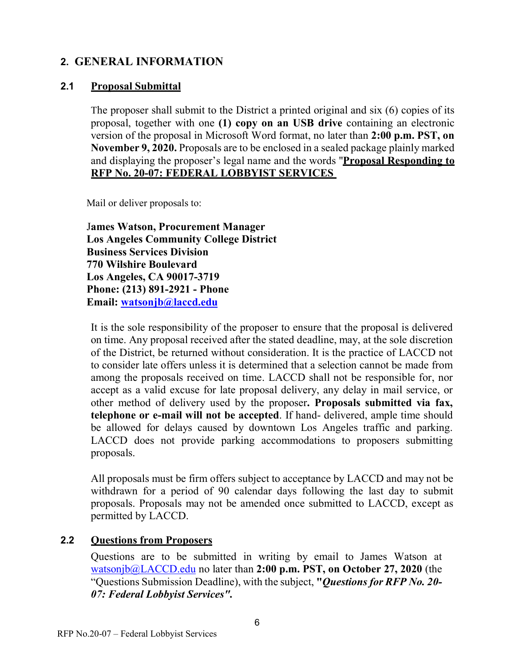## <span id="page-5-0"></span>**2. GENERAL INFORMATION**

#### **2.1 Proposal Submittal**

The proposer shall submit to the District a printed original and six (6) copies of its proposal, together with one **(1) copy on an USB drive** containing an electronic version of the proposal in Microsoft Word format, no later than **2:00 p.m. PST, on November 9, 2020.** Proposals are to be enclosed in a sealed package plainly marked and displaying the proposer's legal name and the words "**Proposal Responding to RFP No. 20-07: FEDERAL LOBBYIST SERVICES** 

Mail or deliver proposals to:

J**ames Watson, Procurement Manager Los Angeles Community College District Business Services Division 770 Wilshire Boulevard Los Angeles, CA 90017-3719 Phone: (213) 891-2921 - Phone Email: [watsonjb@laccd.edu](mailto:watsonjb@laccd.edu)**

It is the sole responsibility of the proposer to ensure that the proposal is delivered on time. Any proposal received after the stated deadline, may, at the sole discretion of the District, be returned without consideration. It is the practice of LACCD not to consider late offers unless it is determined that a selection cannot be made from among the proposals received on time. LACCD shall not be responsible for, nor accept as a valid excuse for late proposal delivery, any delay in mail service, or other method of delivery used by the proposer**. Proposals submitted via fax, telephone or e-mail will not be accepted**. If hand- delivered, ample time should be allowed for delays caused by downtown Los Angeles traffic and parking. LACCD does not provide parking accommodations to proposers submitting proposals.

All proposals must be firm offers subject to acceptance by LACCD and may not be withdrawn for a period of 90 calendar days following the last day to submit proposals. Proposals may not be amended once submitted to LACCD, except as permitted by LACCD.

## **2.2 Questions from Proposers**

Questions are to be submitted in writing by email to James Watson at [watsonjb@LACCD.edu](mailto:watsonjb@LACCD.edu) no later than **2:00 p.m. PST, on October 27, 2020** (the "Questions Submission Deadline), with the subject, **"***Questions for RFP No. 20- 07: Federal Lobbyist Services".*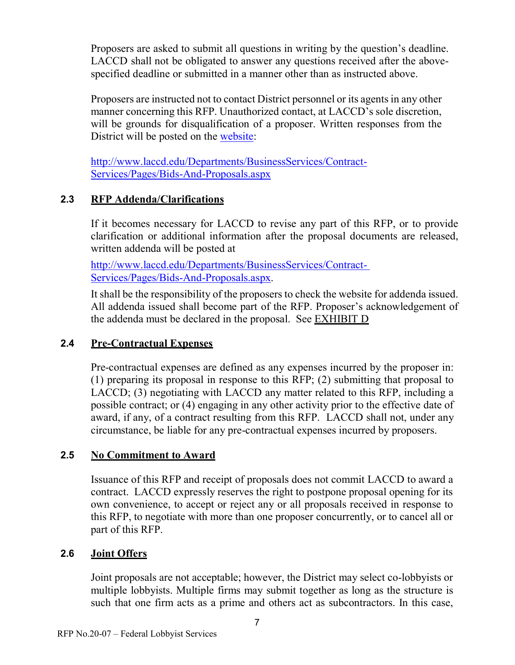Proposers are asked to submit all questions in writing by the question's deadline. LACCD shall not be obligated to answer any questions received after the abovespecified deadline or submitted in a manner other than as instructed above.

Proposers are instructed not to contact District personnel or its agents in any other manner concerning this RFP. Unauthorized contact, at LACCD's sole discretion, will be grounds for disqualification of a proposer. Written responses from the District will be posted on the [website:](http://www.laccd.edu/Departments/BusinessServices/Contract-Services/Pages/Bids-And-Proposals.aspx)

[http://www.laccd.edu/Departments/BusinessServices/Contract-](http://www.laccd.edu/Departments/BusinessServices/Contract-Services/Pages/Bids-And-Proposals.aspx)[Services/Pages/Bids-And-Proposals.aspx](http://www.laccd.edu/Departments/BusinessServices/Contract-Services/Pages/Bids-And-Proposals.aspx)

## **2.3 RFP Addenda/Clarifications**

If it becomes necessary for LACCD to revise any part of this RFP, or to provide clarification or additional information after the proposal documents are released, written addenda will be posted at

<http://www.laccd.edu/Departments/BusinessServices/Contract->[Services/Pages/Bids-And-Proposals.aspx.](http://www.laccd.edu/Departments/BusinessServices/Contract-Services/Pages/Bids-And-Proposals.aspx)

It shall be the responsibility of the proposers to check the website for addenda issued. All addenda issued shall become part of the RFP. Proposer's acknowledgement of the addenda must be declared in the proposal. See [EXHIBIT D](#page-22-0)

## **2.4 Pre-Contractual Expenses**

Pre-contractual expenses are defined as any expenses incurred by the proposer in: (1) preparing its proposal in response to this RFP; (2) submitting that proposal to LACCD; (3) negotiating with LACCD any matter related to this RFP, including a possible contract; or (4) engaging in any other activity prior to the effective date of award, if any, of a contract resulting from this RFP. LACCD shall not, under any circumstance, be liable for any pre-contractual expenses incurred by proposers.

## **2.5 No Commitment to Award**

Issuance of this RFP and receipt of proposals does not commit LACCD to award a contract. LACCD expressly reserves the right to postpone proposal opening for its own convenience, to accept or reject any or all proposals received in response to this RFP, to negotiate with more than one proposer concurrently, or to cancel all or part of this RFP.

## **2.6 Joint Offers**

Joint proposals are not acceptable; however, the District may select co-lobbyists or multiple lobbyists. Multiple firms may submit together as long as the structure is such that one firm acts as a prime and others act as subcontractors. In this case,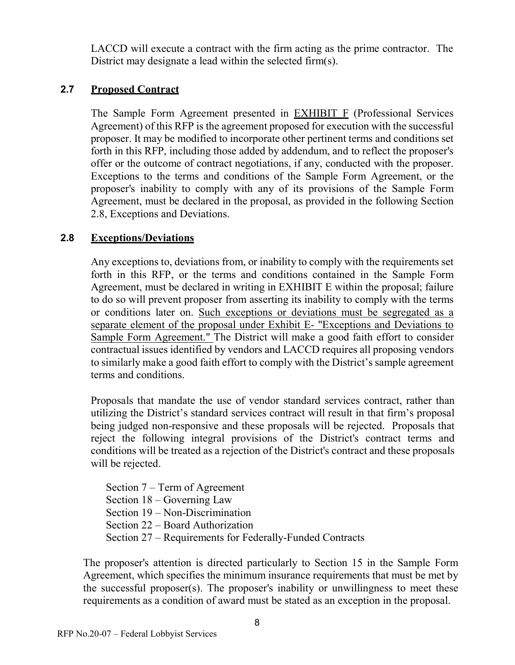LACCD will execute a contract with the firm acting as the prime contractor. The District may designate a lead within the selected firm(s).

#### **2.7 Proposed Contract**

The Sample Form Agreement presented in **[EXHIBIT F](#page-24-0)** (Professional Services Agreement) of this RFP is the agreement proposed for execution with the successful proposer. It may be modified to incorporate other pertinent terms and conditions set forth in this RFP, including those added by addendum, and to reflect the proposer's offer or the outcome of contract negotiations, if any, conducted with the proposer. Exceptions to the terms and conditions of the Sample Form Agreement, or the proposer's inability to comply with any of its provisions of the Sample Form Agreement, must be declared in the proposal, as provided in the following Section 2.8, Exceptions and Deviations.

#### **2.8 Exceptions/Deviations**

Any exceptions to, deviations from, or inability to comply with the requirements set forth in this RFP, or the terms and conditions contained in the Sample Form Agreement, must be declared in writing in [EXHIBIT E](#page-23-0) within the proposal; failure to do so will prevent proposer from asserting its inability to comply with the terms or conditions later on. Such exceptions or deviations must be segregated as a separate element of the proposal under Exhibit E- "Exceptions and Deviations to Sample Form Agreement." The District will make a good faith effort to consider contractual issues identified by vendors and LACCD requires all proposing vendors to similarly make a good faith effort to comply with the District's sample agreement terms and conditions.

Proposals that mandate the use of vendor standard services contract, rather than utilizing the District's standard services contract will result in that firm's proposal being judged non-responsive and these proposals will be rejected. Proposals that reject the following integral provisions of the District's contract terms and conditions will be treated as a rejection of the District's contract and these proposals will be rejected.

Section 7 – Term of Agreement Section 18 – Governing Law Section 19 – Non-Discrimination Section 22 – Board Authorization Section 27 – Requirements for Federally-Funded Contracts

The proposer's attention is directed particularly to Section 15 in the Sample Form Agreement, which specifies the minimum insurance requirements that must be met by the successful proposer(s). The proposer's inability or unwillingness to meet these requirements as a condition of award must be stated as an exception in the proposal.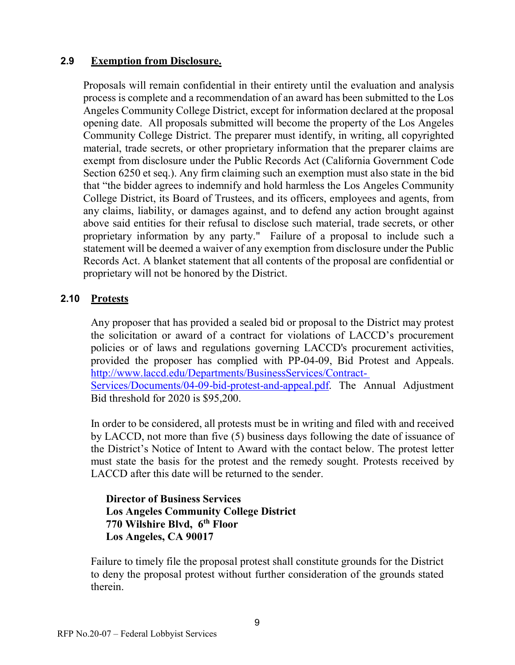#### **2.9 Exemption from Disclosure.**

Proposals will remain confidential in their entirety until the evaluation and analysis process is complete and a recommendation of an award has been submitted to the Los Angeles Community College District, except for information declared at the proposal opening date. All proposals submitted will become the property of the Los Angeles Community College District. The preparer must identify, in writing, all copyrighted material, trade secrets, or other proprietary information that the preparer claims are exempt from disclosure under the Public Records Act (California Government Code Section 6250 et seq.). Any firm claiming such an exemption must also state in the bid that "the bidder agrees to indemnify and hold harmless the Los Angeles Community College District, its Board of Trustees, and its officers, employees and agents, from any claims, liability, or damages against, and to defend any action brought against above said entities for their refusal to disclose such material, trade secrets, or other proprietary information by any party." Failure of a proposal to include such a statement will be deemed a waiver of any exemption from disclosure under the Public Records Act. A blanket statement that all contents of the proposal are confidential or proprietary will not be honored by the District.

#### **2.10 Protests**

Any proposer that has provided a sealed bid or proposal to the District may protest the solicitation or award of a contract for violations of LACCD's procurement policies or of laws and regulations governing LACCD's procurement activities, provided the proposer has complied with PP-04-09, Bid Protest and Appeals. [http://www.laccd.edu/Departments/BusinessServices/Contract-](http://www.laccd.edu/Departments/BusinessServices/Contract-Services/Documents/04-09-bid-protest-and-appeal.pdf)[Services/Documents/04-09-bid-protest-and-appeal.pdf.](http://www.laccd.edu/Departments/BusinessServices/Contract-Services/Documents/04-09-bid-protest-and-appeal.pdf) The Annual Adjustment Bid threshold for 2020 is \$95,200.

In order to be considered, all protests must be in writing and filed with and received by LACCD, not more than five (5) business days following the date of issuance of the District's Notice of Intent to Award with the contact below. The protest letter must state the basis for the protest and the remedy sought. Protests received by LACCD after this date will be returned to the sender.

#### **Director of Business Services Los Angeles Community College District 770 Wilshire Blvd, 6th Floor Los Angeles, CA 90017**

Failure to timely file the proposal protest shall constitute grounds for the District to deny the proposal protest without further consideration of the grounds stated therein.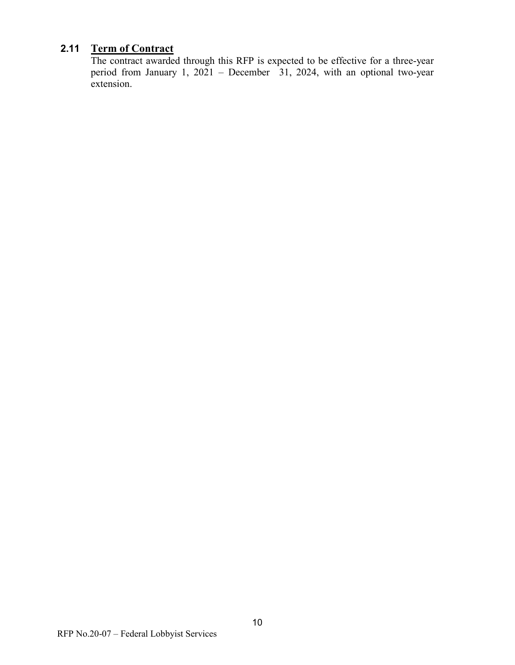## **2.11 Term of Contract**

The contract awarded through this RFP is expected to be effective for a three-year period from January 1, 2021 – December 31, 2024, with an optional two-year extension.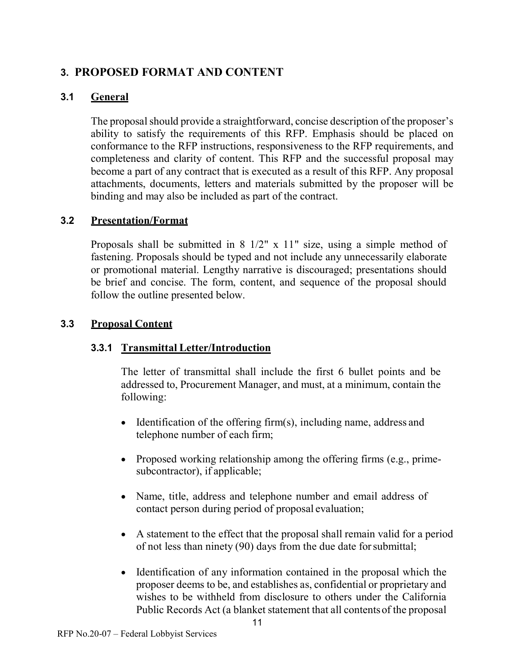## <span id="page-10-0"></span>**3. PROPOSED FORMAT AND CONTENT**

## **3.1 General**

The proposal should provide a straightforward, concise description of the proposer's ability to satisfy the requirements of this RFP. Emphasis should be placed on conformance to the RFP instructions, responsiveness to the RFP requirements, and completeness and clarity of content. This RFP and the successful proposal may become a part of any contract that is executed as a result of this RFP. Any proposal attachments, documents, letters and materials submitted by the proposer will be binding and may also be included as part of the contract.

## **3.2 Presentation/Format**

Proposals shall be submitted in  $8 \frac{1}{2}$ " x  $11$ " size, using a simple method of fastening. Proposals should be typed and not include any unnecessarily elaborate or promotional material. Lengthy narrative is discouraged; presentations should be brief and concise. The form, content, and sequence of the proposal should follow the outline presented below.

## **3.3 Proposal Content**

## **3.3.1 Transmittal Letter/Introduction**

The letter of transmittal shall include the first 6 bullet points and be addressed to, Procurement Manager, and must, at a minimum, contain the following:

- Identification of the offering firm(s), including name, address and telephone number of each firm;
- Proposed working relationship among the offering firms (e.g., primesubcontractor), if applicable;
- Name, title, address and telephone number and email address of contact person during period of proposal evaluation;
- A statement to the effect that the proposal shall remain valid for a period of not less than ninety (90) days from the due date forsubmittal;
- Identification of any information contained in the proposal which the proposer deems to be, and establishes as, confidential or proprietary and wishes to be withheld from disclosure to others under the California Public Records Act (a blanket statement that all contentsof the proposal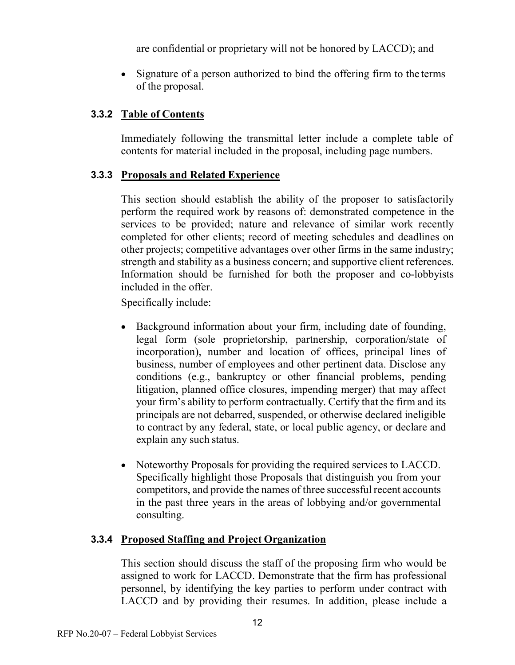are confidential or proprietary will not be honored by LACCD); and

• Signature of a person authorized to bind the offering firm to the terms of the proposal.

#### **3.3.2 Table of Contents**

Immediately following the transmittal letter include a complete table of contents for material included in the proposal, including page numbers.

#### **3.3.3 Proposals and Related Experience**

This section should establish the ability of the proposer to satisfactorily perform the required work by reasons of: demonstrated competence in the services to be provided; nature and relevance of similar work recently completed for other clients; record of meeting schedules and deadlines on other projects; competitive advantages over other firms in the same industry; strength and stability as a business concern; and supportive client references. Information should be furnished for both the proposer and co-lobbyists included in the offer.

Specifically include:

- Background information about your firm, including date of founding, legal form (sole proprietorship, partnership, corporation/state of incorporation), number and location of offices, principal lines of business, number of employees and other pertinent data. Disclose any conditions (e.g., bankruptcy or other financial problems, pending litigation, planned office closures, impending merger) that may affect your firm's ability to perform contractually. Certify that the firm and its principals are not debarred, suspended, or otherwise declared ineligible to contract by any federal, state, or local public agency, or declare and explain any such status.
- Noteworthy Proposals for providing the required services to LACCD. Specifically highlight those Proposals that distinguish you from your competitors, and provide the names of three successful recent accounts in the past three years in the areas of lobbying and/or governmental consulting.

## **3.3.4 Proposed Staffing and Project Organization**

This section should discuss the staff of the proposing firm who would be assigned to work for LACCD. Demonstrate that the firm has professional personnel, by identifying the key parties to perform under contract with LACCD and by providing their resumes. In addition, please include a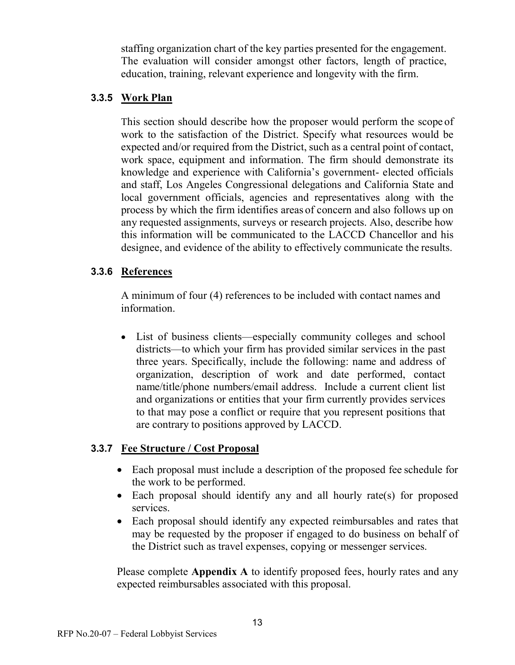staffing organization chart of the key parties presented for the engagement. The evaluation will consider amongst other factors, length of practice, education, training, relevant experience and longevity with the firm.

#### **3.3.5 Work Plan**

This section should describe how the proposer would perform the scope of work to the satisfaction of the District. Specify what resources would be expected and/or required from the District, such as a central point of contact, work space, equipment and information. The firm should demonstrate its knowledge and experience with California's government- elected officials and staff, Los Angeles Congressional delegations and California State and local government officials, agencies and representatives along with the process by which the firm identifies areas of concern and also follows up on any requested assignments, surveys or research projects. Also, describe how this information will be communicated to the LACCD Chancellor and his designee, and evidence of the ability to effectively communicate the results.

#### **3.3.6 References**

A minimum of four (4) references to be included with contact names and information.

• List of business clients—especially community colleges and school districts—to which your firm has provided similar services in the past three years. Specifically, include the following: name and address of organization, description of work and date performed, contact name/title/phone numbers/email address. Include a current client list and organizations or entities that your firm currently provides services to that may pose a conflict or require that you represent positions that are contrary to positions approved by LACCD.

## **3.3.7 Fee Structure / Cost Proposal**

- Each proposal must include a description of the proposed fee schedule for the work to be performed.
- Each proposal should identify any and all hourly rate(s) for proposed services.
- Each proposal should identify any expected reimbursables and rates that may be requested by the proposer if engaged to do business on behalf of the District such as travel expenses, copying or messenger services.

Please complete **[Appendix A](#page-32-1)** to identify proposed fees, hourly rates and any expected reimbursables associated with this proposal.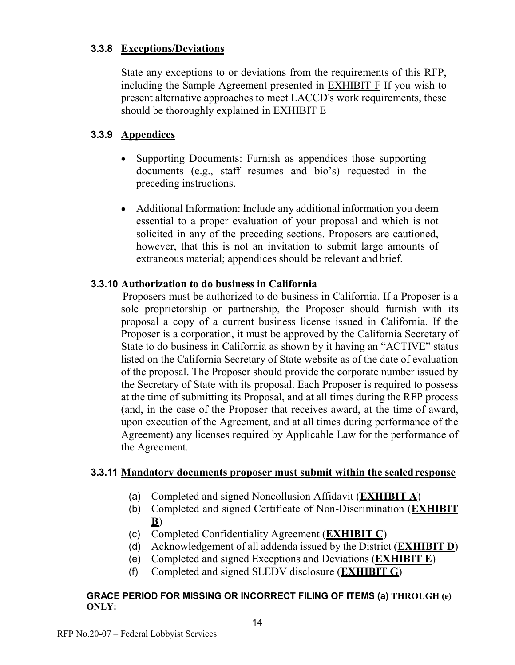#### **3.3.8 Exceptions/Deviations**

State any exceptions to or deviations from the requirements of this RFP, including the Sample Agreement presented in [EXHIBIT F](#page-24-0) If you wish to present alternative approaches to meet LACCD's work requirements, these should be thoroughly explained in [EXHIBIT E](#page-23-0)

#### **3.3.9 Appendices**

- Supporting Documents: Furnish as appendices those supporting documents (e.g., staff resumes and bio's) requested in the preceding instructions.
- Additional Information: Include any additional information you deem essential to a proper evaluation of your proposal and which is not solicited in any of the preceding sections. Proposers are cautioned, however, that this is not an invitation to submit large amounts of extraneous material; appendices should be relevant and brief.

#### **3.3.10 Authorization to do business in California**

Proposers must be authorized to do business in California. If a Proposer is a sole proprietorship or partnership, the Proposer should furnish with its proposal a copy of a current business license issued in California. If the Proposer is a corporation, it must be approved by the California Secretary of State to do business in California as shown by it having an "ACTIVE" status listed on the California Secretary of State website as of the date of evaluation of the proposal. The Proposer should provide the corporate number issued by the Secretary of State with its proposal. Each Proposer is required to possess at the time of submitting its Proposal, and at all times during the RFP process (and, in the case of the Proposer that receives award, at the time of award, upon execution of the Agreement, and at all times during performance of the Agreement) any licenses required by Applicable Law for the performance of the Agreement.

#### **3.3.11 Mandatory documents proposer must submit within the sealedresponse**

- (a) Completed and signed Noncollusion Affidavit (**[EXHIBIT A](#page-19-0)**)
- (b) Completed and signed Certificate of Non-Discrimination (**[EXHIBIT](#page-20-0)  [B](#page-20-0)**)
- (c) Completed Confidentiality Agreement (**[EXHIBIT C](#page-21-0)**)
- (d) Acknowledgement of all addenda issued by the District (**[EXHIBIT D](#page-22-0)**)
- (e) Completed and signed Exceptions and Deviations (**[EXHIBIT E](#page-23-0)**)
- (f) Completed and signed SLEDV disclosure (**[EXHIBIT G](#page-32-0)**)

#### **GRACE PERIOD FOR MISSING OR INCORRECT FILING OF ITEMS (a) THROUGH (e) ONLY:**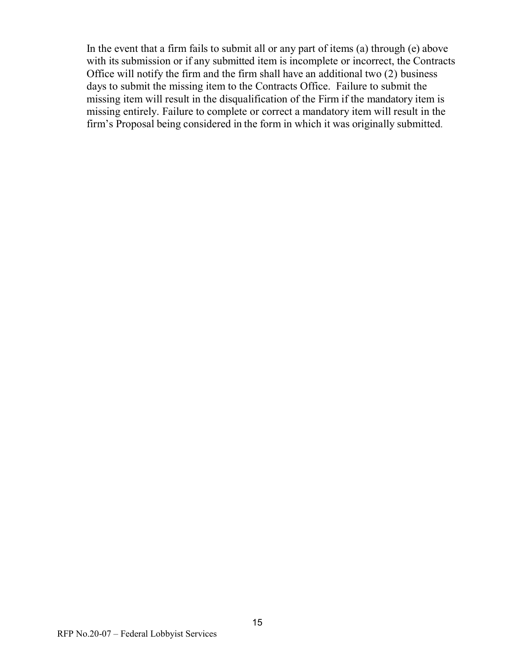In the event that a firm fails to submit all or any part of items (a) through (e) above with its submission or if any submitted item is incomplete or incorrect, the Contracts Office will notify the firm and the firm shall have an additional two (2) business days to submit the missing item to the Contracts Office. Failure to submit the missing item will result in the disqualification of the Firm if the mandatory item is missing entirely. Failure to complete or correct a mandatory item will result in the firm's Proposal being considered in the form in which it was originally submitted.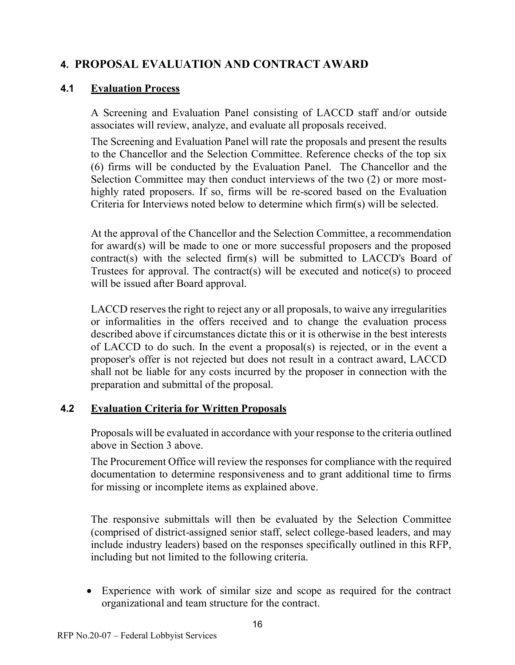## <span id="page-15-0"></span>**4. PROPOSAL EVALUATION AND CONTRACT AWARD**

## **4.1 Evaluation Process**

A Screening and Evaluation Panel consisting of LACCD staff and/or outside associates will review, analyze, and evaluate all proposals received.

The Screening and Evaluation Panel will rate the proposals and present the results to the Chancellor and the Selection Committee. Reference checks of the top six (6) firms will be conducted by the Evaluation Panel. The Chancellor and the Selection Committee may then conduct interviews of the two (2) or more mosthighly rated proposers. If so, firms will be re-scored based on the Evaluation Criteria for Interviews noted below to determine which firm(s) will be selected.

At the approval of the Chancellor and the Selection Committee, a recommendation for award(s) will be made to one or more successful proposers and the proposed contract(s) with the selected firm(s) will be submitted to LACCD's Board of Trustees for approval. The contract(s) will be executed and notice(s) to proceed will be issued after Board approval.

LACCD reserves the right to reject any or all proposals, to waive any irregularities or informalities in the offers received and to change the evaluation process described above if circumstances dictate this or it is otherwise in the best interests of LACCD to do such. In the event a proposal(s) is rejected, or in the event a proposer's offer is not rejected but does not result in a contract award, LACCD shall not be liable for any costs incurred by the proposer in connection with the preparation and submittal of the proposal.

## **4.2 Evaluation Criteria for Written Proposals**

Proposals will be evaluated in accordance with your response to the criteria outlined above in Section 3 above.

The Procurement Office will review the responses for compliance with the required documentation to determine responsiveness and to grant additional time to firms for missing or incomplete items as explained above.

The responsive submittals will then be evaluated by the Selection Committee (comprised of district-assigned senior staff, select college-based leaders, and may include industry leaders) based on the responses specifically outlined in this RFP, including but not limited to the following criteria.

• Experience with work of similar size and scope as required for the contract organizational and team structure for the contract.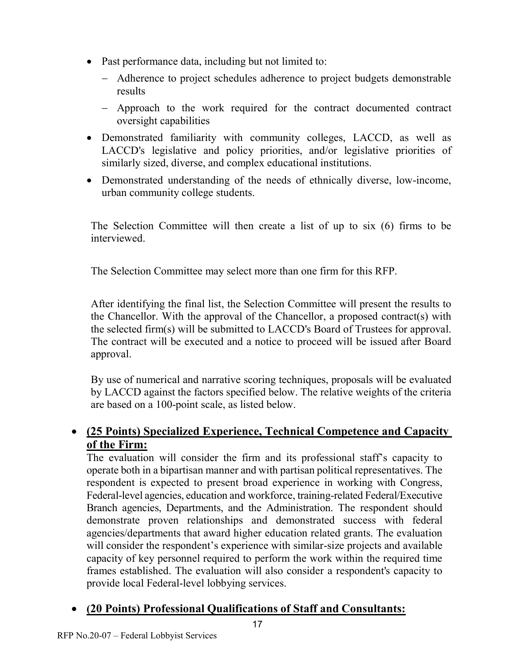- Past performance data, including but not limited to:
	- − Adherence to project schedules adherence to project budgets demonstrable results
	- − Approach to the work required for the contract documented contract oversight capabilities
- Demonstrated familiarity with community colleges, LACCD, as well as LACCD's legislative and policy priorities, and/or legislative priorities of similarly sized, diverse, and complex educational institutions.
- Demonstrated understanding of the needs of ethnically diverse, low-income, urban community college students.

The Selection Committee will then create a list of up to six (6) firms to be interviewed.

The Selection Committee may select more than one firm for this RFP.

After identifying the final list, the Selection Committee will present the results to the Chancellor. With the approval of the Chancellor, a proposed contract(s) with the selected firm(s) will be submitted to LACCD's Board of Trustees for approval. The contract will be executed and a notice to proceed will be issued after Board approval.

By use of numerical and narrative scoring techniques, proposals will be evaluated by LACCD against the factors specified below. The relative weights of the criteria are based on a 100-point scale, as listed below.

# • **(25 Points) Specialized Experience, Technical Competence and Capacity of the Firm:**

The evaluation will consider the firm and its professional staff's capacity to operate both in a bipartisan manner and with partisan political representatives. The respondent is expected to present broad experience in working with Congress, Federal-level agencies, education and workforce, training-related Federal/Executive Branch agencies, Departments, and the Administration. The respondent should demonstrate proven relationships and demonstrated success with federal agencies/departments that award higher education related grants. The evaluation will consider the respondent's experience with similar-size projects and available capacity of key personnel required to perform the work within the required time frames established. The evaluation will also consider a respondent's capacity to provide local Federal-level lobbying services.

# • **(20 Points) Professional Qualifications of Staff and Consultants:**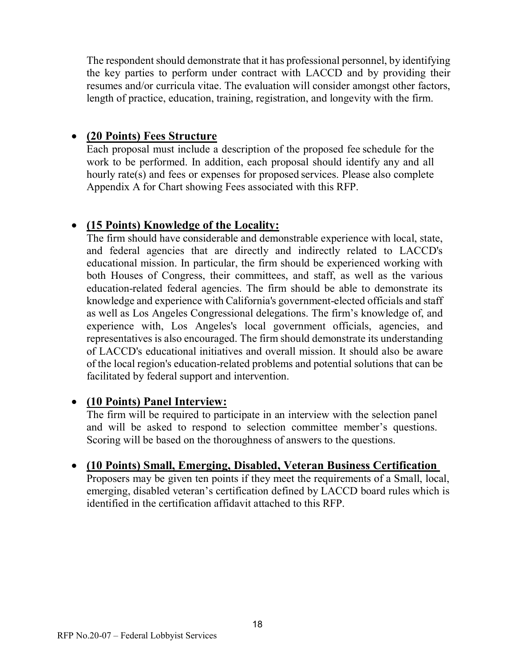The respondent should demonstrate that it has professional personnel, by identifying the key parties to perform under contract with LACCD and by providing their resumes and/or curricula vitae. The evaluation will consider amongst other factors, length of practice, education, training, registration, and longevity with the firm.

## • **(20 Points) Fees Structure**

Each proposal must include a description of the proposed fee schedule for the work to be performed. In addition, each proposal should identify any and all hourly rate(s) and fees or expenses for proposed services. Please also complete Appendix A for Chart showing Fees associated with this RFP.

## • **(15 Points) Knowledge of the Locality:**

The firm should have considerable and demonstrable experience with local, state, and federal agencies that are directly and indirectly related to LACCD's educational mission. In particular, the firm should be experienced working with both Houses of Congress, their committees, and staff, as well as the various education-related federal agencies. The firm should be able to demonstrate its knowledge and experience with California's government-elected officials and staff as well as Los Angeles Congressional delegations. The firm's knowledge of, and experience with, Los Angeles's local government officials, agencies, and representatives is also encouraged. The firm should demonstrate its understanding of LACCD's educational initiatives and overall mission. It should also be aware of the local region's education-related problems and potential solutions that can be facilitated by federal support and intervention.

## • **(10 Points) Panel Interview:**

The firm will be required to participate in an interview with the selection panel and will be asked to respond to selection committee member's questions. Scoring will be based on the thoroughness of answers to the questions.

## • **(10 Points) Small, Emerging, Disabled, Veteran Business Certification**

Proposers may be given ten points if they meet the requirements of a Small, local, emerging, disabled veteran's certification defined by LACCD board rules which is identified in the certification affidavit attached to this RFP.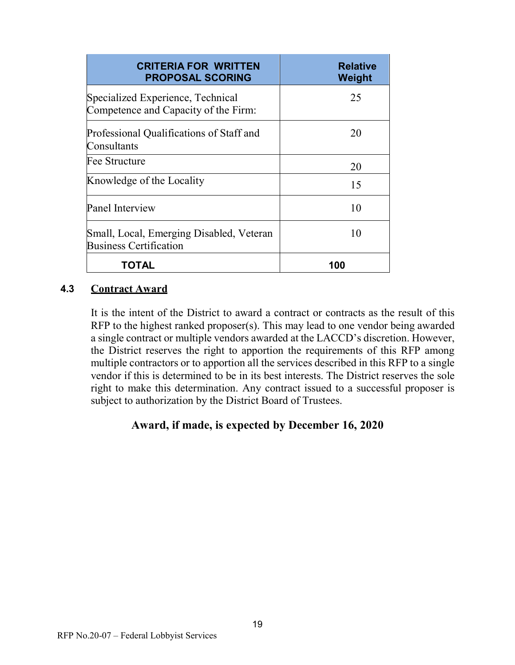| <b>CRITERIA FOR WRITTEN</b><br><b>PROPOSAL SCORING</b>                    | <b>Relative</b><br>Weight |
|---------------------------------------------------------------------------|---------------------------|
| Specialized Experience, Technical<br>Competence and Capacity of the Firm: | 25                        |
| Professional Qualifications of Staff and<br>Consultants                   | 20                        |
| Fee Structure                                                             | 20                        |
| Knowledge of the Locality                                                 | 15                        |
| Panel Interview                                                           | 10                        |
| Small, Local, Emerging Disabled, Veteran<br><b>Business Certification</b> | 10                        |
| TOTAL                                                                     | 100                       |

#### **4.3 Contract Award**

It is the intent of the District to award a contract or contracts as the result of this RFP to the highest ranked proposer(s). This may lead to one vendor being awarded a single contract or multiple vendors awarded at the LACCD's discretion. However, the District reserves the right to apportion the requirements of this RFP among multiple contractors or to apportion all the services described in this RFP to a single vendor if this is determined to be in its best interests. The District reserves the sole right to make this determination. Any contract issued to a successful proposer is subject to authorization by the District Board of Trustees.

#### **Award, if made, is expected by December 16, 2020**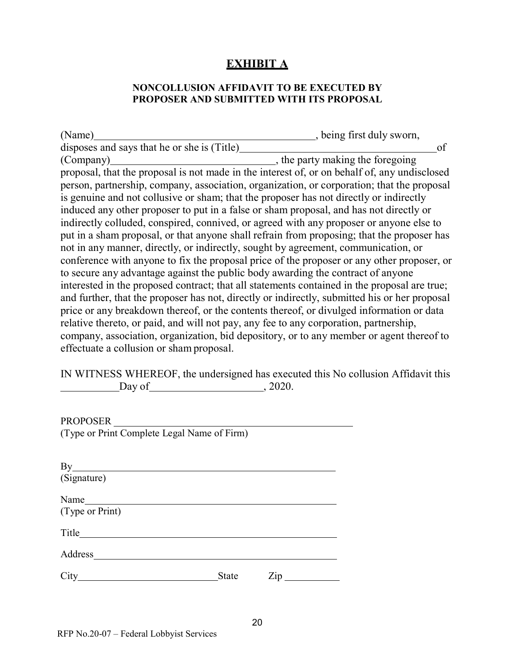## **EXHIBIT A**

#### **NONCOLLUSION AFFIDAVIT TO BE EXECUTED BY PROPOSER AND SUBMITTED WITH ITS PROPOSAL**

<span id="page-19-0"></span>

| (Name)                                                                                        | , being first duly sworn,        |
|-----------------------------------------------------------------------------------------------|----------------------------------|
| disposes and says that he or she is (Title)                                                   | of                               |
| (Company)                                                                                     | , the party making the foregoing |
| proposal, that the proposal is not made in the interest of, or on behalf of, any undisclosed  |                                  |
| person, partnership, company, association, organization, or corporation; that the proposal    |                                  |
| is genuine and not collusive or sham; that the proposer has not directly or indirectly        |                                  |
| induced any other proposer to put in a false or sham proposal, and has not directly or        |                                  |
| indirectly colluded, conspired, connived, or agreed with any proposer or anyone else to       |                                  |
| put in a sham proposal, or that anyone shall refrain from proposing; that the proposer has    |                                  |
| not in any manner, directly, or indirectly, sought by agreement, communication, or            |                                  |
| conference with anyone to fix the proposal price of the proposer or any other proposer, or    |                                  |
| to secure any advantage against the public body awarding the contract of anyone               |                                  |
| interested in the proposed contract; that all statements contained in the proposal are true;  |                                  |
| and further, that the proposer has not, directly or indirectly, submitted his or her proposal |                                  |
| price or any breakdown thereof, or the contents thereof, or divulged information or data      |                                  |
| relative thereto, or paid, and will not pay, any fee to any corporation, partnership,         |                                  |
| company, association, organization, bid depository, or to any member or agent thereof to      |                                  |
| effectuate a collusion or sham proposal.                                                      |                                  |

IN WITNESS WHEREOF, the undersigned has executed this No collusion Affidavit this  $\Box$ Day of  $\Box$ , 2020.

PROPOSER (Type or Print Complete Legal Name of Firm)

| By<br>(Signature) |       |     |  |
|-------------------|-------|-----|--|
| (Type or Print)   |       |     |  |
| Title             |       |     |  |
| Address           |       |     |  |
| City              | State | Zip |  |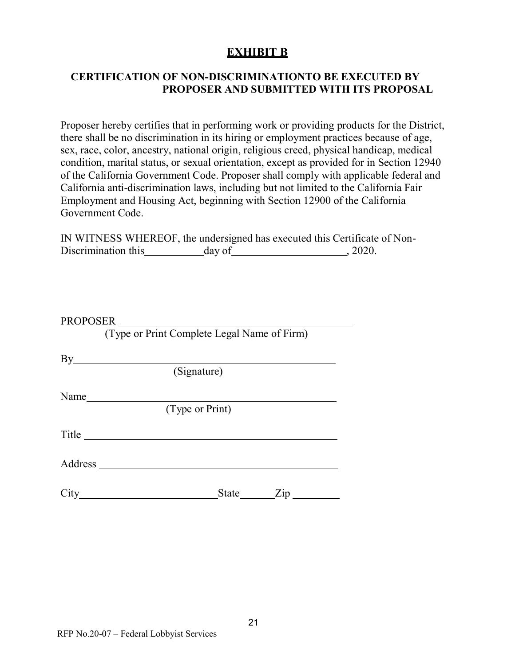## **EXHIBIT B**

#### <span id="page-20-0"></span>**CERTIFICATION OF NON-DISCRIMINATIONTO BE EXECUTED BY PROPOSER AND SUBMITTED WITH ITS PROPOSAL**

Proposer hereby certifies that in performing work or providing products for the District, there shall be no discrimination in its hiring or employment practices because of age, sex, race, color, ancestry, national origin, religious creed, physical handicap, medical condition, marital status, or sexual orientation, except as provided for in Section 12940 of the California Government Code. Proposer shall comply with applicable federal and California anti-discrimination laws, including but not limited to the California Fair Employment and Housing Act, beginning with Section 12900 of the California Government Code.

|                     |        | IN WITNESS WHEREOF, the undersigned has executed this Certificate of Non- |
|---------------------|--------|---------------------------------------------------------------------------|
| Discrimination this | day of | . 2020.                                                                   |

|       | PROPOSER                                    |
|-------|---------------------------------------------|
|       | (Type or Print Complete Legal Name of Firm) |
|       | $By$ and $\overline{a}$                     |
|       | (Signature)                                 |
| Name  |                                             |
|       | (Type or Print)                             |
| Title |                                             |
|       |                                             |
|       | State Zip<br>$City \quad \qquad \qquad$     |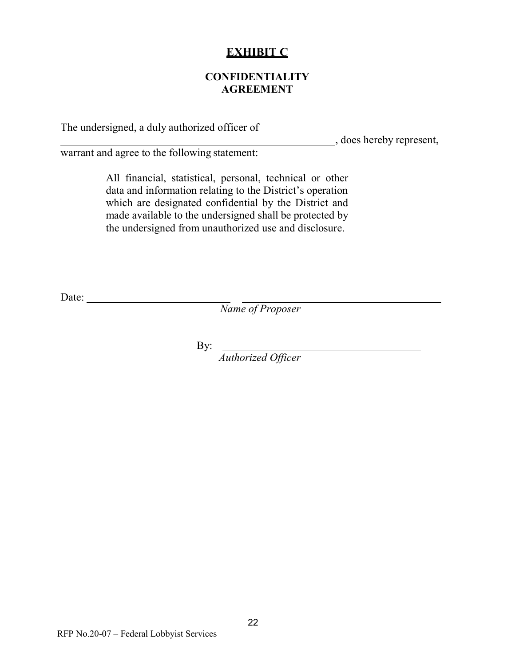## **EXHIBIT C**

#### **CONFIDENTIALITY AGREEMENT**

<span id="page-21-0"></span>The undersigned, a duly authorized officer of

, does hereby represent,

warrant and agree to the following statement:

All financial, statistical, personal, technical or other data and information relating to the District's operation which are designated confidential by the District and made available to the undersigned shall be protected by the undersigned from unauthorized use and disclosure.

Date:

*Name of Proposer*

By:

*Authorized Officer*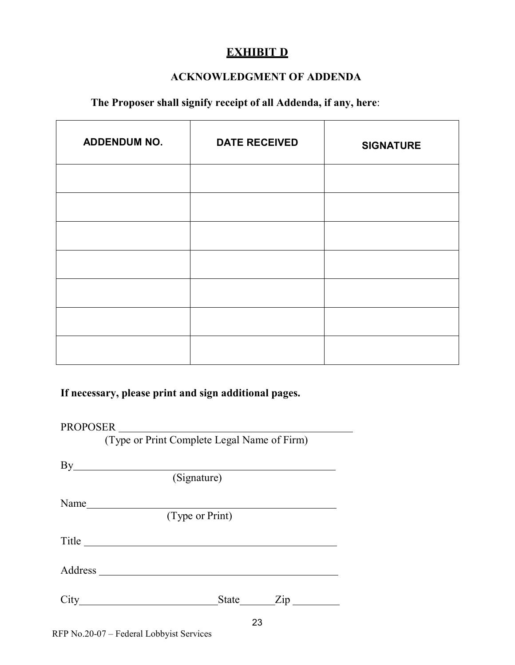# **EXHIBIT D**

#### **ACKNOWLEDGMENT OF ADDENDA**

## <span id="page-22-0"></span>**The Proposer shall signify receipt of all Addenda, if any, here**:

| <b>ADDENDUM NO.</b> | <b>DATE RECEIVED</b> | <b>SIGNATURE</b> |
|---------------------|----------------------|------------------|
|                     |                      |                  |
|                     |                      |                  |
|                     |                      |                  |
|                     |                      |                  |
|                     |                      |                  |
|                     |                      |                  |
|                     |                      |                  |

#### **If necessary, please print and sign additional pages.**

#### PROPOSER

(Type or Print Complete Legal Name of Firm)

|      | (Signature)        |
|------|--------------------|
| Name |                    |
|      | $(T$ ype or Print) |
|      |                    |
|      |                    |
|      | State Zip          |
|      | つつ                 |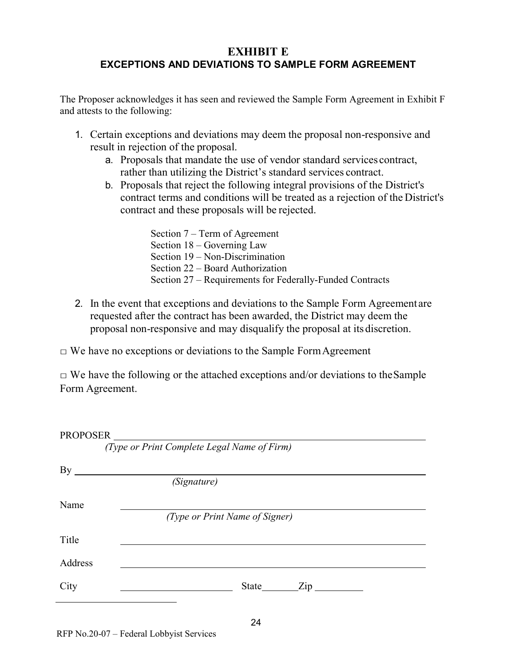## <span id="page-23-0"></span>**EXHIBIT E EXCEPTIONS AND DEVIATIONS TO SAMPLE FORM AGREEMENT**

The Proposer acknowledges it has seen and reviewed the Sample Form Agreement in Exhibit F and attests to the following:

- 1. Certain exceptions and deviations may deem the proposal non-responsive and result in rejection of the proposal.
	- a. Proposals that mandate the use of vendor standard services contract, rather than utilizing the District's standard services contract.
	- b. Proposals that reject the following integral provisions of the District's contract terms and conditions will be treated as a rejection of the District's contract and these proposals will be rejected.

Section 7 – Term of Agreement Section 18 – Governing Law Section 19 – Non-Discrimination Section 22 – Board Authorization Section 27 – Requirements for Federally-Funded Contracts

2. In the event that exceptions and deviations to the Sample Form Agreement are requested after the contract has been awarded, the District may deem the proposal non-responsive and may disqualify the proposal at its discretion.

 $\Box$  We have no exceptions or deviations to the Sample Form Agreement

 $\Box$  We have the following or the attached exceptions and/or deviations to the Sample Form Agreement.

| PROPOSER |                                             |
|----------|---------------------------------------------|
|          | (Type or Print Complete Legal Name of Firm) |
| Вy       |                                             |
|          | (Signature)                                 |
| Name     |                                             |
|          | (Type or Print Name of Signer)              |
| Title    |                                             |
| Address  |                                             |
| City     | $\angle$ Zip<br>State                       |
|          |                                             |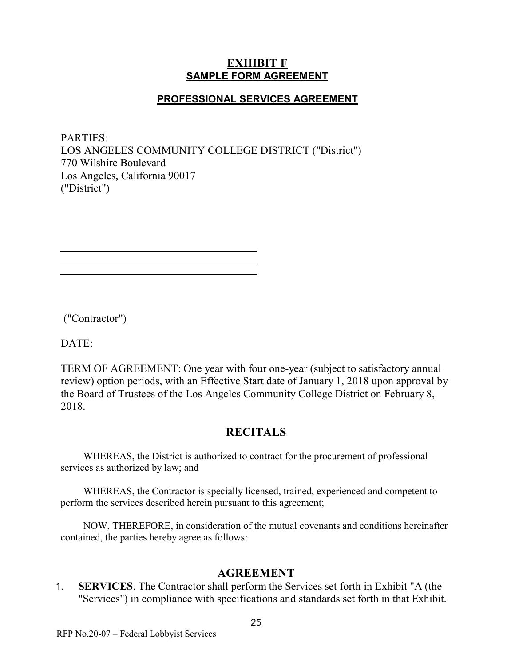#### **EXHIBIT F SAMPLE FORM AGREEMENT**

#### **PROFESSIONAL SERVICES AGREEMENT**

<span id="page-24-0"></span>PARTIES: LOS ANGELES COMMUNITY COLLEGE DISTRICT ("District") 770 Wilshire Boulevard Los Angeles, California 90017 ("District")

("Contractor")

DATE:

TERM OF AGREEMENT: One year with four one-year (subject to satisfactory annual review) option periods, with an Effective Start date of January 1, 2018 upon approval by the Board of Trustees of the Los Angeles Community College District on February 8, 2018.

## **RECITALS**

WHEREAS, the District is authorized to contract for the procurement of professional services as authorized by law; and

WHEREAS, the Contractor is specially licensed, trained, experienced and competent to perform the services described herein pursuant to this agreement;

NOW, THEREFORE, in consideration of the mutual covenants and conditions hereinafter contained, the parties hereby agree as follows:

#### **AGREEMENT**

1. **SERVICES**. The Contractor shall perform the Services set forth in Exhibit "A (the "Services") in compliance with specifications and standards set forth in that Exhibit.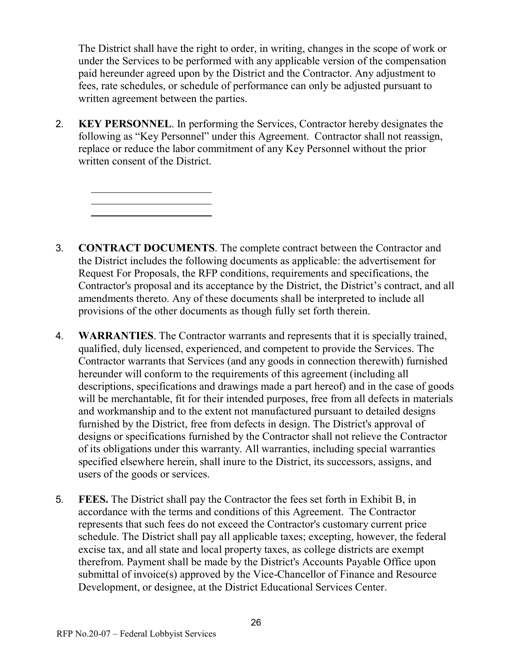The District shall have the right to order, in writing, changes in the scope of work or under the Services to be performed with any applicable version of the compensation paid hereunder agreed upon by the District and the Contractor. Any adjustment to fees, rate schedules, or schedule of performance can only be adjusted pursuant to written agreement between the parties.

2. **KEY PERSONNEL**. In performing the Services, Contractor hereby designates the following as "Key Personnel" under this Agreement. Contractor shall not reassign, replace or reduce the labor commitment of any Key Personnel without the prior written consent of the District.

- 3. **CONTRACT DOCUMENTS**. The complete contract between the Contractor and the District includes the following documents as applicable: the advertisement for Request For Proposals, the RFP conditions, requirements and specifications, the Contractor's proposal and its acceptance by the District, the District's contract, and all amendments thereto. Any of these documents shall be interpreted to include all provisions of the other documents as though fully set forth therein.
- 4. **WARRANTIES**. The Contractor warrants and represents that it is specially trained, qualified, duly licensed, experienced, and competent to provide the Services. The Contractor warrants that Services (and any goods in connection therewith) furnished hereunder will conform to the requirements of this agreement (including all descriptions, specifications and drawings made a part hereof) and in the case of goods will be merchantable, fit for their intended purposes, free from all defects in materials and workmanship and to the extent not manufactured pursuant to detailed designs furnished by the District, free from defects in design. The District's approval of designs or specifications furnished by the Contractor shall not relieve the Contractor of its obligations under this warranty. All warranties, including special warranties specified elsewhere herein, shall inure to the District, its successors, assigns, and users of the goods or services.
- 5. **FEES.** The District shall pay the Contractor the fees set forth in Exhibit B, in accordance with the terms and conditions of this Agreement. The Contractor represents that such fees do not exceed the Contractor's customary current price schedule. The District shall pay all applicable taxes; excepting, however, the federal excise tax, and all state and local property taxes, as college districts are exempt therefrom. Payment shall be made by the District's Accounts Payable Office upon submittal of invoice(s) approved by the Vice-Chancellor of Finance and Resource Development, or designee, at the District Educational Services Center.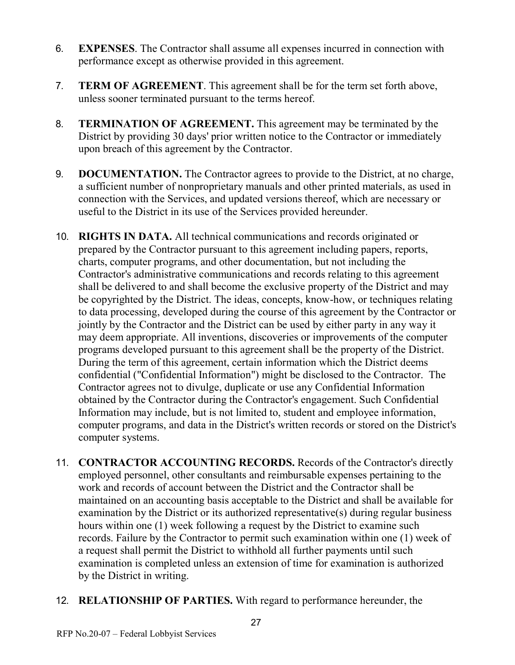- 6. **EXPENSES**. The Contractor shall assume all expenses incurred in connection with performance except as otherwise provided in this agreement.
- 7. **TERM OF AGREEMENT**. This agreement shall be for the term set forth above, unless sooner terminated pursuant to the terms hereof.
- 8. **TERMINATION OF AGREEMENT.** This agreement may be terminated by the District by providing 30 days' prior written notice to the Contractor or immediately upon breach of this agreement by the Contractor.
- 9. **DOCUMENTATION.** The Contractor agrees to provide to the District, at no charge, a sufficient number of nonproprietary manuals and other printed materials, as used in connection with the Services, and updated versions thereof, which are necessary or useful to the District in its use of the Services provided hereunder.
- 10. **RIGHTS IN DATA.** All technical communications and records originated or prepared by the Contractor pursuant to this agreement including papers, reports, charts, computer programs, and other documentation, but not including the Contractor's administrative communications and records relating to this agreement shall be delivered to and shall become the exclusive property of the District and may be copyrighted by the District. The ideas, concepts, know-how, or techniques relating to data processing, developed during the course of this agreement by the Contractor or jointly by the Contractor and the District can be used by either party in any way it may deem appropriate. All inventions, discoveries or improvements of the computer programs developed pursuant to this agreement shall be the property of the District. During the term of this agreement, certain information which the District deems confidential ("Confidential Information") might be disclosed to the Contractor. The Contractor agrees not to divulge, duplicate or use any Confidential Information obtained by the Contractor during the Contractor's engagement. Such Confidential Information may include, but is not limited to, student and employee information, computer programs, and data in the District's written records or stored on the District's computer systems.
- 11. **CONTRACTOR ACCOUNTING RECORDS.** Records of the Contractor's directly employed personnel, other consultants and reimbursable expenses pertaining to the work and records of account between the District and the Contractor shall be maintained on an accounting basis acceptable to the District and shall be available for examination by the District or its authorized representative(s) during regular business hours within one (1) week following a request by the District to examine such records. Failure by the Contractor to permit such examination within one (1) week of a request shall permit the District to withhold all further payments until such examination is completed unless an extension of time for examination is authorized by the District in writing.
- 12. **RELATIONSHIP OF PARTIES.** With regard to performance hereunder, the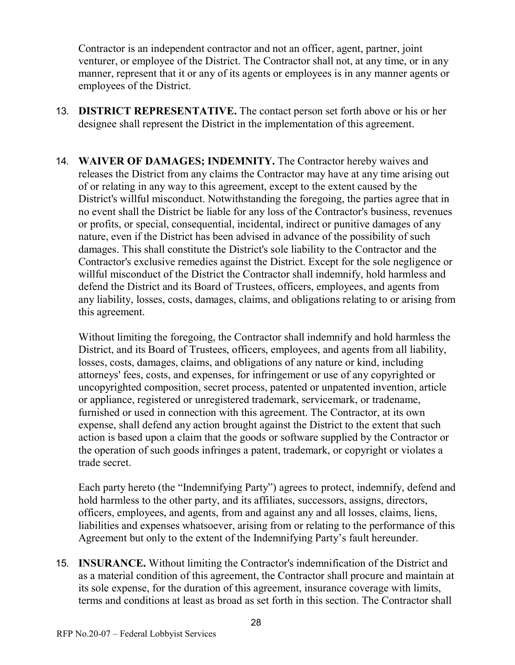Contractor is an independent contractor and not an officer, agent, partner, joint venturer, or employee of the District. The Contractor shall not, at any time, or in any manner, represent that it or any of its agents or employees is in any manner agents or employees of the District.

- 13. **DISTRICT REPRESENTATIVE.** The contact person set forth above or his or her designee shall represent the District in the implementation of this agreement.
- 14. **WAIVER OF DAMAGES; INDEMNITY.** The Contractor hereby waives and releases the District from any claims the Contractor may have at any time arising out of or relating in any way to this agreement, except to the extent caused by the District's willful misconduct. Notwithstanding the foregoing, the parties agree that in no event shall the District be liable for any loss of the Contractor's business, revenues or profits, or special, consequential, incidental, indirect or punitive damages of any nature, even if the District has been advised in advance of the possibility of such damages. This shall constitute the District's sole liability to the Contractor and the Contractor's exclusive remedies against the District. Except for the sole negligence or willful misconduct of the District the Contractor shall indemnify, hold harmless and defend the District and its Board of Trustees, officers, employees, and agents from any liability, losses, costs, damages, claims, and obligations relating to or arising from this agreement.

Without limiting the foregoing, the Contractor shall indemnify and hold harmless the District, and its Board of Trustees, officers, employees, and agents from all liability, losses, costs, damages, claims, and obligations of any nature or kind, including attorneys' fees, costs, and expenses, for infringement or use of any copyrighted or uncopyrighted composition, secret process, patented or unpatented invention, article or appliance, registered or unregistered trademark, servicemark, or tradename, furnished or used in connection with this agreement. The Contractor, at its own expense, shall defend any action brought against the District to the extent that such action is based upon a claim that the goods or software supplied by the Contractor or the operation of such goods infringes a patent, trademark, or copyright or violates a trade secret.

Each party hereto (the "Indemnifying Party") agrees to protect, indemnify, defend and hold harmless to the other party, and its affiliates, successors, assigns, directors, officers, employees, and agents, from and against any and all losses, claims, liens, liabilities and expenses whatsoever, arising from or relating to the performance of this Agreement but only to the extent of the Indemnifying Party's fault hereunder.

15. **INSURANCE.** Without limiting the Contractor's indemnification of the District and as a material condition of this agreement, the Contractor shall procure and maintain at its sole expense, for the duration of this agreement, insurance coverage with limits, terms and conditions at least as broad as set forth in this section. The Contractor shall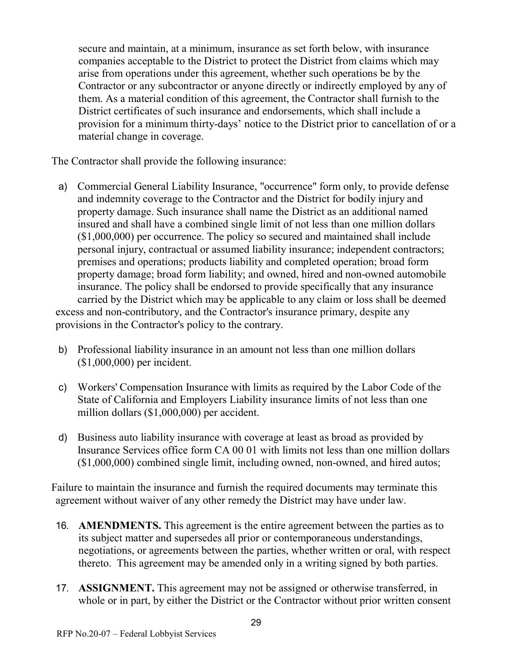secure and maintain, at a minimum, insurance as set forth below, with insurance companies acceptable to the District to protect the District from claims which may arise from operations under this agreement, whether such operations be by the Contractor or any subcontractor or anyone directly or indirectly employed by any of them. As a material condition of this agreement, the Contractor shall furnish to the District certificates of such insurance and endorsements, which shall include a provision for a minimum thirty-days' notice to the District prior to cancellation of or a material change in coverage.

The Contractor shall provide the following insurance:

- a) Commercial General Liability Insurance, "occurrence" form only, to provide defense and indemnity coverage to the Contractor and the District for bodily injury and property damage. Such insurance shall name the District as an additional named insured and shall have a combined single limit of not less than one million dollars (\$1,000,000) per occurrence. The policy so secured and maintained shall include personal injury, contractual or assumed liability insurance; independent contractors; premises and operations; products liability and completed operation; broad form property damage; broad form liability; and owned, hired and non-owned automobile insurance. The policy shall be endorsed to provide specifically that any insurance carried by the District which may be applicable to any claim or loss shall be deemed excess and non-contributory, and the Contractor's insurance primary, despite any provisions in the Contractor's policy to the contrary.
- b) Professional liability insurance in an amount not less than one million dollars (\$1,000,000) per incident.
- c) Workers' Compensation Insurance with limits as required by the Labor Code of the State of California and Employers Liability insurance limits of not less than one million dollars (\$1,000,000) per accident.
- d) Business auto liability insurance with coverage at least as broad as provided by Insurance Services office form CA 00 01 with limits not less than one million dollars (\$1,000,000) combined single limit, including owned, non-owned, and hired autos;

Failure to maintain the insurance and furnish the required documents may terminate this agreement without waiver of any other remedy the District may have under law.

- 16. **AMENDMENTS.** This agreement is the entire agreement between the parties as to its subject matter and supersedes all prior or contemporaneous understandings, negotiations, or agreements between the parties, whether written or oral, with respect thereto. This agreement may be amended only in a writing signed by both parties.
- 17. **ASSIGNMENT.** This agreement may not be assigned or otherwise transferred, in whole or in part, by either the District or the Contractor without prior written consent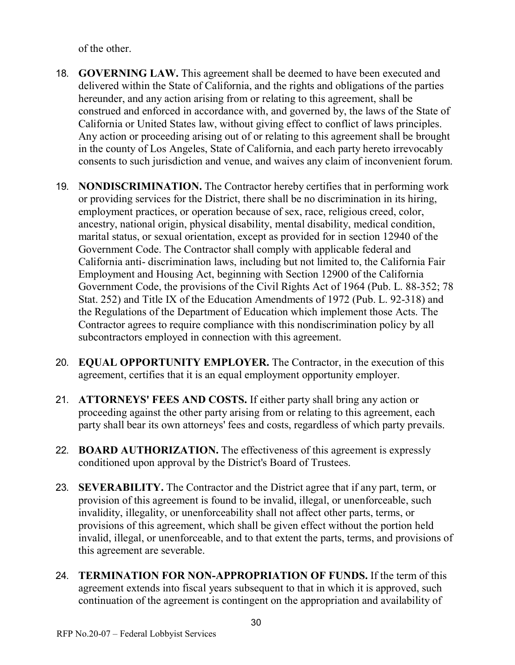of the other.

- 18. **GOVERNING LAW.** This agreement shall be deemed to have been executed and delivered within the State of California, and the rights and obligations of the parties hereunder, and any action arising from or relating to this agreement, shall be construed and enforced in accordance with, and governed by, the laws of the State of California or United States law, without giving effect to conflict of laws principles. Any action or proceeding arising out of or relating to this agreement shall be brought in the county of Los Angeles, State of California, and each party hereto irrevocably consents to such jurisdiction and venue, and waives any claim of inconvenient forum.
- 19. **NONDISCRIMINATION.** The Contractor hereby certifies that in performing work or providing services for the District, there shall be no discrimination in its hiring, employment practices, or operation because of sex, race, religious creed, color, ancestry, national origin, physical disability, mental disability, medical condition, marital status, or sexual orientation, except as provided for in section 12940 of the Government Code. The Contractor shall comply with applicable federal and California anti- discrimination laws, including but not limited to, the California Fair Employment and Housing Act, beginning with Section 12900 of the California Government Code, the provisions of the Civil Rights Act of 1964 (Pub. L. 88-352; 78 Stat. 252) and Title IX of the Education Amendments of 1972 (Pub. L. 92-318) and the Regulations of the Department of Education which implement those Acts. The Contractor agrees to require compliance with this nondiscrimination policy by all subcontractors employed in connection with this agreement.
- 20. **EQUAL OPPORTUNITY EMPLOYER.** The Contractor, in the execution of this agreement, certifies that it is an equal employment opportunity employer.
- 21. **ATTORNEYS' FEES AND COSTS.** If either party shall bring any action or proceeding against the other party arising from or relating to this agreement, each party shall bear its own attorneys' fees and costs, regardless of which party prevails.
- 22. **BOARD AUTHORIZATION.** The effectiveness of this agreement is expressly conditioned upon approval by the District's Board of Trustees.
- 23. **SEVERABILITY.** The Contractor and the District agree that if any part, term, or provision of this agreement is found to be invalid, illegal, or unenforceable, such invalidity, illegality, or unenforceability shall not affect other parts, terms, or provisions of this agreement, which shall be given effect without the portion held invalid, illegal, or unenforceable, and to that extent the parts, terms, and provisions of this agreement are severable.
- 24. **TERMINATION FOR NON-APPROPRIATION OF FUNDS.** If the term of this agreement extends into fiscal years subsequent to that in which it is approved, such continuation of the agreement is contingent on the appropriation and availability of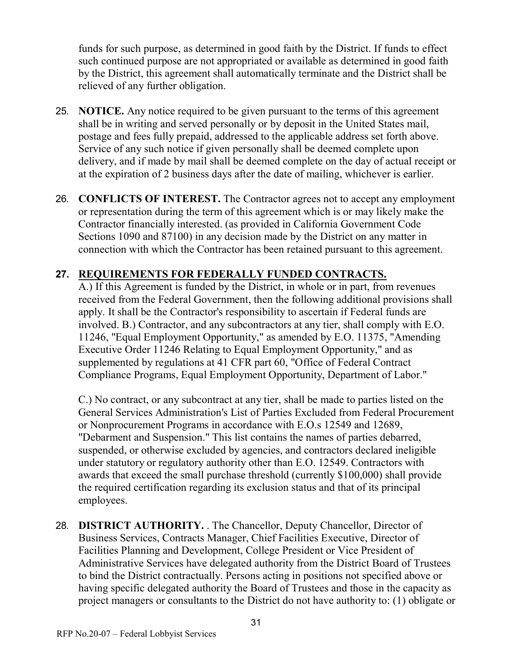funds for such purpose, as determined in good faith by the District. If funds to effect such continued purpose are not appropriated or available as determined in good faith by the District, this agreement shall automatically terminate and the District shall be relieved of any further obligation.

- 25. **NOTICE.** Any notice required to be given pursuant to the terms of this agreement shall be in writing and served personally or by deposit in the United States mail, postage and fees fully prepaid, addressed to the applicable address set forth above. Service of any such notice if given personally shall be deemed complete upon delivery, and if made by mail shall be deemed complete on the day of actual receipt or at the expiration of 2 business days after the date of mailing, whichever is earlier.
- 26. **CONFLICTS OF INTEREST.** The Contractor agrees not to accept any employment or representation during the term of this agreement which is or may likely make the Contractor financially interested. (as provided in California Government Code Sections 1090 and 87100) in any decision made by the District on any matter in connection with which the Contractor has been retained pursuant to this agreement.

## **27. REQUIREMENTS FOR FEDERALLY FUNDED CONTRACTS.**

A.) If this Agreement is funded by the District, in whole or in part, from revenues received from the Federal Government, then the following additional provisions shall apply. It shall be the Contractor's responsibility to ascertain if Federal funds are involved. B.) Contractor, and any subcontractors at any tier, shall comply with E.O. 11246, "Equal Employment Opportunity," as amended by E.O. 11375, "Amending Executive Order 11246 Relating to Equal Employment Opportunity," and as supplemented by regulations at 41 CFR part 60, "Office of Federal Contract Compliance Programs, Equal Employment Opportunity, Department of Labor."

C.) No contract, or any subcontract at any tier, shall be made to parties listed on the General Services Administration's List of Parties Excluded from Federal Procurement or Nonprocurement Programs in accordance with E.O.s 12549 and 12689, "Debarment and Suspension." This list contains the names of parties debarred, suspended, or otherwise excluded by agencies, and contractors declared ineligible under statutory or regulatory authority other than E.O. 12549. Contractors with awards that exceed the small purchase threshold (currently \$100,000) shall provide the required certification regarding its exclusion status and that of its principal employees.

28. **DISTRICT AUTHORITY.** . The Chancellor, Deputy Chancellor, Director of Business Services, Contracts Manager, Chief Facilities Executive, Director of Facilities Planning and Development, College President or Vice President of Administrative Services have delegated authority from the District Board of Trustees to bind the District contractually. Persons acting in positions not specified above or having specific delegated authority the Board of Trustees and those in the capacity as project managers or consultants to the District do not have authority to: (1) obligate or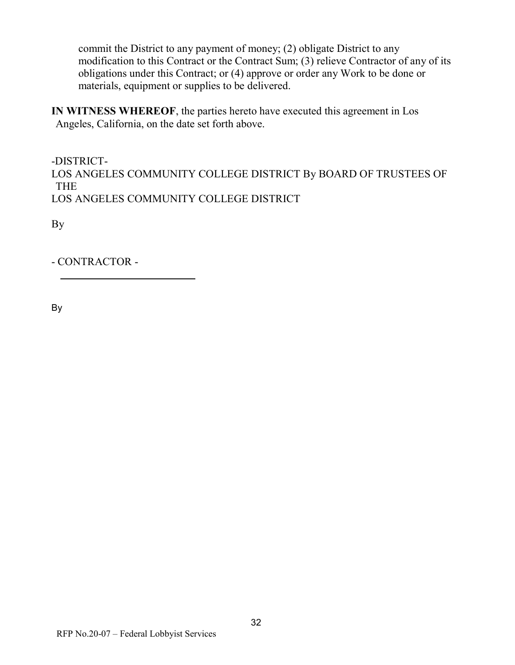commit the District to any payment of money; (2) obligate District to any modification to this Contract or the Contract Sum; (3) relieve Contractor of any of its obligations under this Contract; or (4) approve or order any Work to be done or materials, equipment or supplies to be delivered.

**IN WITNESS WHEREOF**, the parties hereto have executed this agreement in Los Angeles, California, on the date set forth above.

-DISTRICT-LOS ANGELES COMMUNITY COLLEGE DISTRICT By BOARD OF TRUSTEES OF THE LOS ANGELES COMMUNITY COLLEGE DISTRICT

By

- CONTRACTOR -

By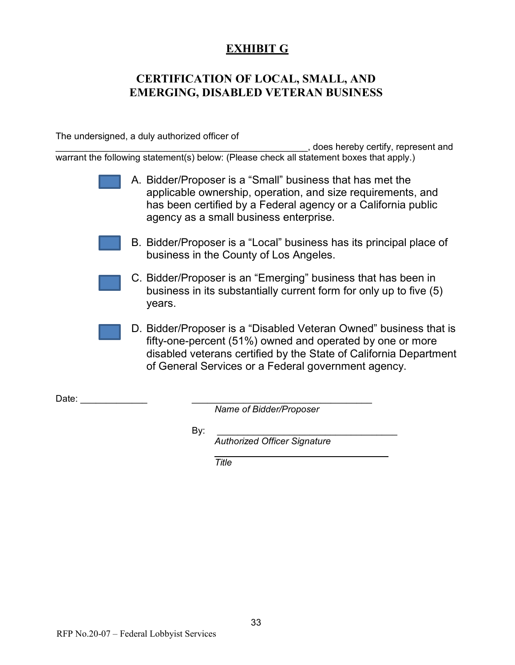## **EXHIBIT G**

## <span id="page-32-0"></span>**CERTIFICATION OF LOCAL, SMALL, AND EMERGING, DISABLED VETERAN BUSINESS**

The undersigned, a duly authorized officer of

\_\_\_\_\_\_\_\_\_\_\_\_\_\_\_\_\_\_\_\_\_\_\_\_\_\_\_\_\_\_\_\_\_\_\_\_\_\_\_\_\_\_\_\_\_\_\_\_\_, does hereby certify, represent and warrant the following statement(s) below: (Please check all statement boxes that apply.)

- A. Bidder/Proposer is a "Small" business that has met the applicable ownership, operation, and size requirements, and has been certified by a Federal agency or a California public agency as a small business enterprise.
- B. Bidder/Proposer is a "Local" business has its principal place of business in the County of Los Angeles.
- C. Bidder/Proposer is an "Emerging" business that has been in business in its substantially current form for only up to five (5) years.
- D. Bidder/Proposer is a "Disabled Veteran Owned" business that is fifty-one-percent (51%) owned and operated by one or more disabled veterans certified by the State of California Department of General Services or a Federal government agency.

Date:  $\Box$ 

*Name of Bidder/Proposer*

By: \_\_\_\_\_\_\_\_\_\_\_\_\_\_\_\_\_\_\_\_\_\_\_\_\_\_\_\_\_\_\_\_\_\_\_

*Authorized Officer Signature*

<span id="page-32-1"></span>*Title*